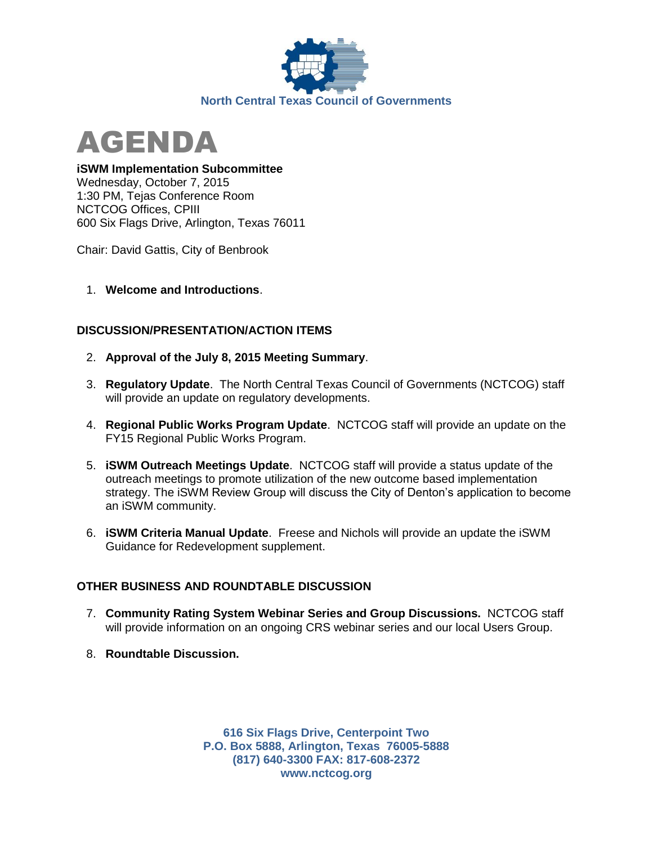



**iSWM Implementation Subcommittee**

Wednesday, October 7, 2015 1:30 PM, Tejas Conference Room NCTCOG Offices, CPIII 600 Six Flags Drive, Arlington, Texas 76011

Chair: David Gattis, City of Benbrook

1. **Welcome and Introductions**.

## **DISCUSSION/PRESENTATION/ACTION ITEMS**

- 2. **Approval of the July 8, 2015 Meeting Summary**.
- 3. **Regulatory Update**. The North Central Texas Council of Governments (NCTCOG) staff will provide an update on regulatory developments.
- 4. **Regional Public Works Program Update**. NCTCOG staff will provide an update on the FY15 Regional Public Works Program.
- 5. **iSWM Outreach Meetings Update**. NCTCOG staff will provide a status update of the outreach meetings to promote utilization of the new outcome based implementation strategy. The iSWM Review Group will discuss the City of Denton's application to become an iSWM community.
- 6. **iSWM Criteria Manual Update**. Freese and Nichols will provide an update the iSWM Guidance for Redevelopment supplement.

## **OTHER BUSINESS AND ROUNDTABLE DISCUSSION**

- 7. **Community Rating System Webinar Series and Group Discussions.** NCTCOG staff will provide information on an ongoing CRS webinar series and our local Users Group.
- 8. **Roundtable Discussion.**

**616 Six Flags Drive, Centerpoint Two P.O. Box 5888, Arlington, Texas 76005-5888 (817) 640-3300 FAX: 817-608-2372 www.nctcog.org**